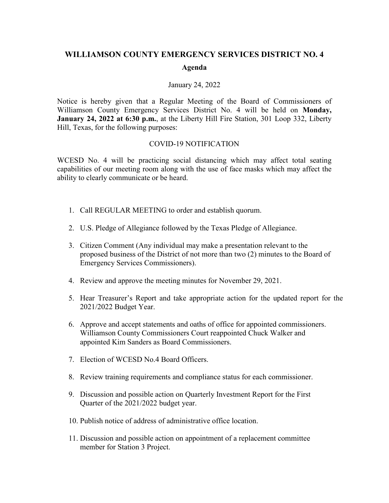## **WILLIAMSON COUNTY EMERGENCY SERVICES DISTRICT NO. 4 Agenda**

## January 24, 2022

Notice is hereby given that a Regular Meeting of the Board of Commissioners of Williamson County Emergency Services District No. 4 will be held on **Monday, January 24, 2022 at 6:30 p.m.**, at the Liberty Hill Fire Station, 301 Loop 332, Liberty Hill, Texas, for the following purposes:

## COVID-19 NOTIFICATION

WCESD No. 4 will be practicing social distancing which may affect total seating capabilities of our meeting room along with the use of face masks which may affect the ability to clearly communicate or be heard.

- 1. Call REGULAR MEETING to order and establish quorum.
- 2. U.S. Pledge of Allegiance followed by the Texas Pledge of Allegiance.
- 3. Citizen Comment (Any individual may make a presentation relevant to the proposed business of the District of not more than two (2) minutes to the Board of Emergency Services Commissioners).
- 4. Review and approve the meeting minutes for November 29, 2021.
- 5. Hear Treasurer's Report and take appropriate action for the updated report for the 2021/2022 Budget Year.
- 6. Approve and accept statements and oaths of office for appointed commissioners. Williamson County Commissioners Court reappointed Chuck Walker and appointed Kim Sanders as Board Commissioners.
- 7. Election of WCESD No.4 Board Officers.
- 8. Review training requirements and compliance status for each commissioner.
- 9. Discussion and possible action on Quarterly Investment Report for the First Quarter of the 2021/2022 budget year.
- 10. Publish notice of address of administrative office location.
- 11. Discussion and possible action on appointment of a replacement committee member for Station 3 Project.